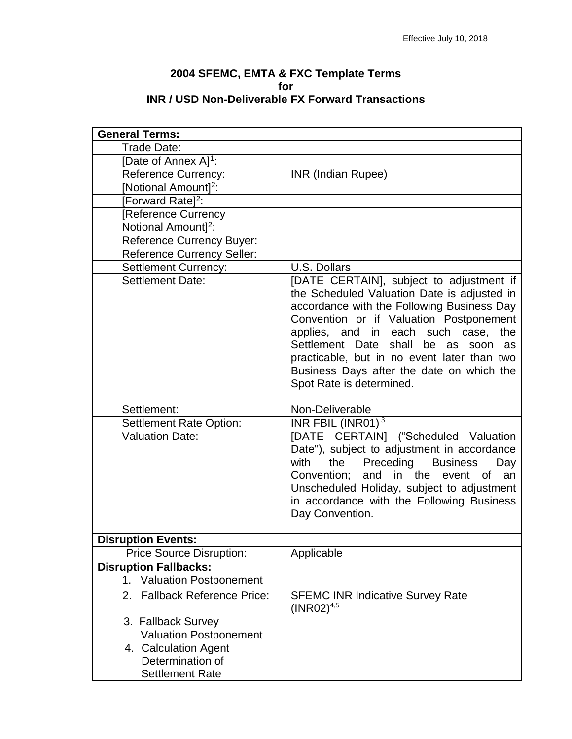| 2004 SFEMC, EMTA & FXC Template Terms                    |  |  |  |
|----------------------------------------------------------|--|--|--|
| for                                                      |  |  |  |
| <b>INR / USD Non-Deliverable FX Forward Transactions</b> |  |  |  |

| <b>General Terms:</b>                  |                                                                                                                                                                                                                                                                                                                                                                                                    |
|----------------------------------------|----------------------------------------------------------------------------------------------------------------------------------------------------------------------------------------------------------------------------------------------------------------------------------------------------------------------------------------------------------------------------------------------------|
| Trade Date:                            |                                                                                                                                                                                                                                                                                                                                                                                                    |
| [Date of Annex A] <sup>1</sup> :       |                                                                                                                                                                                                                                                                                                                                                                                                    |
| <b>Reference Currency:</b>             | <b>INR (Indian Rupee)</b>                                                                                                                                                                                                                                                                                                                                                                          |
| [Notional Amount] <sup>2</sup> :       |                                                                                                                                                                                                                                                                                                                                                                                                    |
|                                        |                                                                                                                                                                                                                                                                                                                                                                                                    |
| [Forward Rate] <sup>2</sup> :          |                                                                                                                                                                                                                                                                                                                                                                                                    |
| [Reference Currency                    |                                                                                                                                                                                                                                                                                                                                                                                                    |
| Notional Amount] <sup>2</sup> :        |                                                                                                                                                                                                                                                                                                                                                                                                    |
| <b>Reference Currency Buyer:</b>       |                                                                                                                                                                                                                                                                                                                                                                                                    |
| <b>Reference Currency Seller:</b>      |                                                                                                                                                                                                                                                                                                                                                                                                    |
| <b>Settlement Currency:</b>            | <b>U.S. Dollars</b>                                                                                                                                                                                                                                                                                                                                                                                |
| <b>Settlement Date:</b>                | [DATE CERTAIN], subject to adjustment if<br>the Scheduled Valuation Date is adjusted in<br>accordance with the Following Business Day<br>Convention or if Valuation Postponement<br>applies, and in each such case,<br>the<br>shall<br>Settlement Date<br>be as<br>soon as<br>practicable, but in no event later than two<br>Business Days after the date on which the<br>Spot Rate is determined. |
| Settlement:                            | Non-Deliverable                                                                                                                                                                                                                                                                                                                                                                                    |
| Settlement Rate Option:                | INR FBIL (INR01) $3$                                                                                                                                                                                                                                                                                                                                                                               |
| <b>Valuation Date:</b>                 | [DATE CERTAIN] ("Scheduled Valuation<br>Date"), subject to adjustment in accordance<br>with<br>Preceding<br><b>Business</b><br>the<br>Day<br>Convention; and in the event of<br>an<br>Unscheduled Holiday, subject to adjustment<br>in accordance with the Following Business<br>Day Convention.                                                                                                   |
| <b>Disruption Events:</b>              |                                                                                                                                                                                                                                                                                                                                                                                                    |
| <b>Price Source Disruption:</b>        | Applicable                                                                                                                                                                                                                                                                                                                                                                                         |
| <b>Disruption Fallbacks:</b>           |                                                                                                                                                                                                                                                                                                                                                                                                    |
| <b>Valuation Postponement</b><br>1.    |                                                                                                                                                                                                                                                                                                                                                                                                    |
| <b>Fallback Reference Price:</b><br>2. | <b>SFEMC INR Indicative Survey Rate</b><br>$(INR02)^{4,5}$                                                                                                                                                                                                                                                                                                                                         |
| 3. Fallback Survey                     |                                                                                                                                                                                                                                                                                                                                                                                                    |
| <b>Valuation Postponement</b>          |                                                                                                                                                                                                                                                                                                                                                                                                    |
| 4. Calculation Agent                   |                                                                                                                                                                                                                                                                                                                                                                                                    |
| Determination of                       |                                                                                                                                                                                                                                                                                                                                                                                                    |
| <b>Settlement Rate</b>                 |                                                                                                                                                                                                                                                                                                                                                                                                    |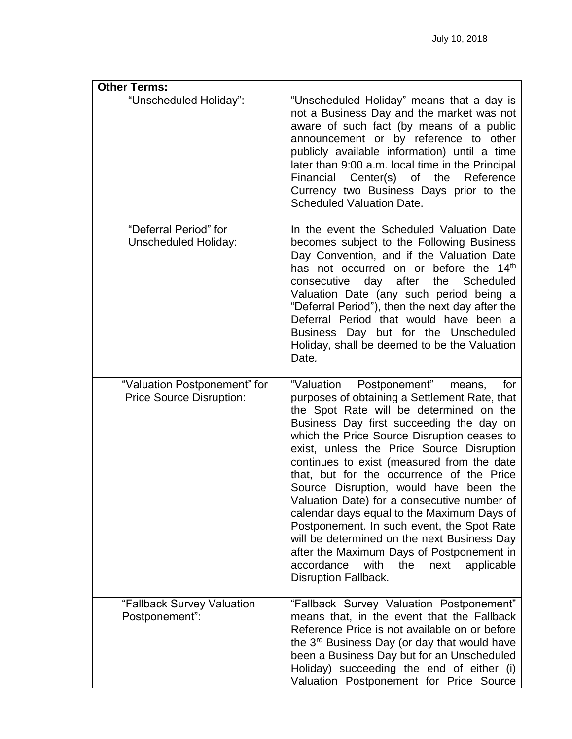| <b>Other Terms:</b>                                             |                                                                                                                                                                                                                                                                                                                                                                                                                                                                                                                                                                                                                                                                                                                                      |
|-----------------------------------------------------------------|--------------------------------------------------------------------------------------------------------------------------------------------------------------------------------------------------------------------------------------------------------------------------------------------------------------------------------------------------------------------------------------------------------------------------------------------------------------------------------------------------------------------------------------------------------------------------------------------------------------------------------------------------------------------------------------------------------------------------------------|
| "Unscheduled Holiday":                                          | "Unscheduled Holiday" means that a day is<br>not a Business Day and the market was not<br>aware of such fact (by means of a public<br>announcement or by reference to other<br>publicly available information) until a time<br>later than 9:00 a.m. local time in the Principal<br>Financial Center(s) of the<br>Reference<br>Currency two Business Days prior to the<br><b>Scheduled Valuation Date.</b>                                                                                                                                                                                                                                                                                                                            |
| "Deferral Period" for<br><b>Unscheduled Holiday:</b>            | In the event the Scheduled Valuation Date<br>becomes subject to the Following Business<br>Day Convention, and if the Valuation Date<br>has not occurred on or before the 14 <sup>th</sup><br>consecutive day after<br>the Scheduled<br>Valuation Date (any such period being a<br>"Deferral Period"), then the next day after the<br>Deferral Period that would have been a<br>Business Day but for the Unscheduled<br>Holiday, shall be deemed to be the Valuation<br>Date.                                                                                                                                                                                                                                                         |
| "Valuation Postponement" for<br><b>Price Source Disruption:</b> | "Valuation Postponement"<br>for<br>means,<br>purposes of obtaining a Settlement Rate, that<br>the Spot Rate will be determined on the<br>Business Day first succeeding the day on<br>which the Price Source Disruption ceases to<br>exist, unless the Price Source Disruption<br>continues to exist (measured from the date<br>that, but for the occurrence of the Price<br>Source Disruption, would have been the<br>Valuation Date) for a consecutive number of<br>calendar days equal to the Maximum Days of<br>Postponement. In such event, the Spot Rate<br>will be determined on the next Business Day<br>after the Maximum Days of Postponement in<br>accordance<br>with<br>the<br>next<br>applicable<br>Disruption Fallback. |
| "Fallback Survey Valuation<br>Postponement":                    | "Fallback Survey Valuation Postponement"<br>means that, in the event that the Fallback<br>Reference Price is not available on or before<br>the 3 <sup>rd</sup> Business Day (or day that would have<br>been a Business Day but for an Unscheduled<br>Holiday) succeeding the end of either (i)<br>Valuation Postponement for Price Source                                                                                                                                                                                                                                                                                                                                                                                            |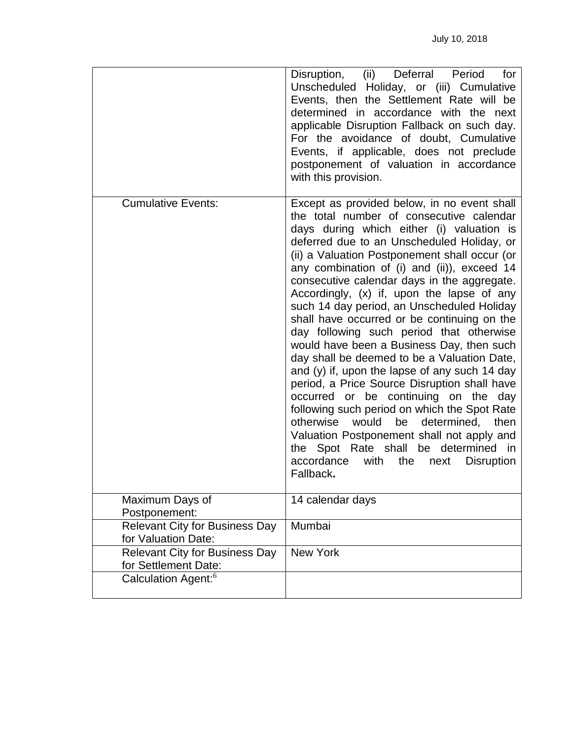|                                                               | Disruption, (ii) Deferral<br>Period<br>for<br>Unscheduled Holiday, or (iii) Cumulative<br>Events, then the Settlement Rate will be<br>determined in accordance with the next<br>applicable Disruption Fallback on such day.<br>For the avoidance of doubt, Cumulative<br>Events, if applicable, does not preclude<br>postponement of valuation in accordance<br>with this provision.                                                                                                                                                                                                                                                                                                                                                                                                                                                                                                                                                                                                                                          |
|---------------------------------------------------------------|-------------------------------------------------------------------------------------------------------------------------------------------------------------------------------------------------------------------------------------------------------------------------------------------------------------------------------------------------------------------------------------------------------------------------------------------------------------------------------------------------------------------------------------------------------------------------------------------------------------------------------------------------------------------------------------------------------------------------------------------------------------------------------------------------------------------------------------------------------------------------------------------------------------------------------------------------------------------------------------------------------------------------------|
| <b>Cumulative Events:</b>                                     | Except as provided below, in no event shall<br>the total number of consecutive calendar<br>days during which either (i) valuation is<br>deferred due to an Unscheduled Holiday, or<br>(ii) a Valuation Postponement shall occur (or<br>any combination of (i) and (ii)), exceed 14<br>consecutive calendar days in the aggregate.<br>Accordingly, (x) if, upon the lapse of any<br>such 14 day period, an Unscheduled Holiday<br>shall have occurred or be continuing on the<br>day following such period that otherwise<br>would have been a Business Day, then such<br>day shall be deemed to be a Valuation Date,<br>and (y) if, upon the lapse of any such 14 day<br>period, a Price Source Disruption shall have<br>occurred or be continuing on the<br>day<br>following such period on which the Spot Rate<br>be<br>otherwise would<br>determined,<br>then<br>Valuation Postponement shall not apply and<br>the Spot Rate shall be determined in<br>accordance<br>with<br>the<br><b>Disruption</b><br>next<br>Fallback. |
| Maximum Days of<br>Postponement:                              | 14 calendar days                                                                                                                                                                                                                                                                                                                                                                                                                                                                                                                                                                                                                                                                                                                                                                                                                                                                                                                                                                                                              |
| <b>Relevant City for Business Day</b><br>for Valuation Date:  | Mumbai                                                                                                                                                                                                                                                                                                                                                                                                                                                                                                                                                                                                                                                                                                                                                                                                                                                                                                                                                                                                                        |
| <b>Relevant City for Business Day</b><br>for Settlement Date: | <b>New York</b>                                                                                                                                                                                                                                                                                                                                                                                                                                                                                                                                                                                                                                                                                                                                                                                                                                                                                                                                                                                                               |
| Calculation Agent: <sup>6</sup>                               |                                                                                                                                                                                                                                                                                                                                                                                                                                                                                                                                                                                                                                                                                                                                                                                                                                                                                                                                                                                                                               |